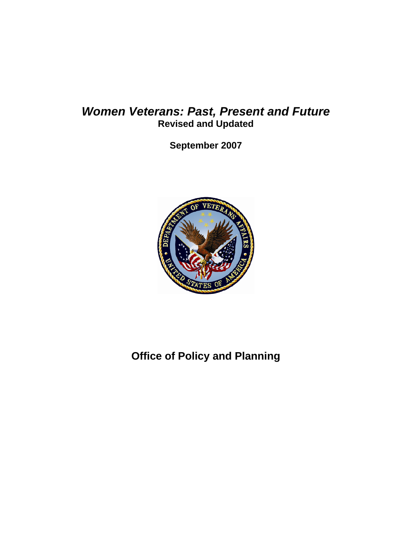# *Women Veterans: Past, Present and Future*  **Revised and Updated**

**September 2007** 



**Office of Policy and Planning**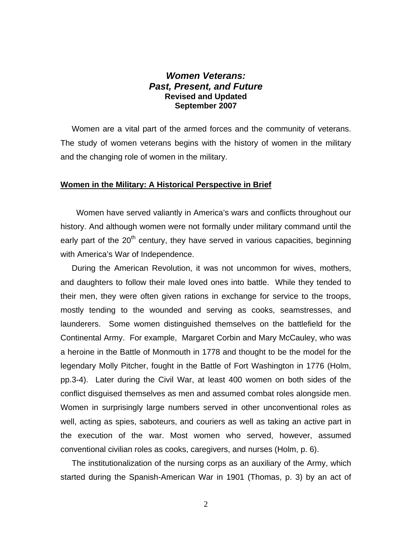# *Women Veterans: Past, Present, and Future*  **Revised and Updated September 2007**

 Women are a vital part of the armed forces and the community of veterans. The study of women veterans begins with the history of women in the military and the changing role of women in the military.

#### **Women in the Military: A Historical Perspective in Brief**

 Women have served valiantly in America's wars and conflicts throughout our history. And although women were not formally under military command until the early part of the  $20<sup>th</sup>$  century, they have served in various capacities, beginning with America's War of Independence.

 During the American Revolution, it was not uncommon for wives, mothers, and daughters to follow their male loved ones into battle. While they tended to their men, they were often given rations in exchange for service to the troops, mostly tending to the wounded and serving as cooks, seamstresses, and launderers. Some women distinguished themselves on the battlefield for the Continental Army. For example, Margaret Corbin and Mary McCauley, who was a heroine in the Battle of Monmouth in 1778 and thought to be the model for the legendary Molly Pitcher, fought in the Battle of Fort Washington in 1776 (Holm, pp.3-4). Later during the Civil War, at least 400 women on both sides of the conflict disguised themselves as men and assumed combat roles alongside men. Women in surprisingly large numbers served in other unconventional roles as well, acting as spies, saboteurs, and couriers as well as taking an active part in the execution of the war. Most women who served, however, assumed conventional civilian roles as cooks, caregivers, and nurses (Holm, p. 6).

 The institutionalization of the nursing corps as an auxiliary of the Army, which started during the Spanish-American War in 1901 (Thomas, p. 3) by an act of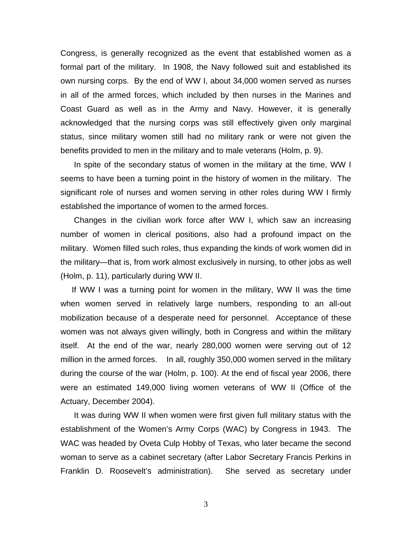Congress, is generally recognized as the event that established women as a formal part of the military. In 1908, the Navy followed suit and established its own nursing corps. By the end of WW I, about 34,000 women served as nurses in all of the armed forces, which included by then nurses in the Marines and Coast Guard as well as in the Army and Navy. However, it is generally acknowledged that the nursing corps was still effectively given only marginal status, since military women still had no military rank or were not given the benefits provided to men in the military and to male veterans (Holm, p. 9).

 In spite of the secondary status of women in the military at the time, WW I seems to have been a turning point in the history of women in the military. The significant role of nurses and women serving in other roles during WW I firmly established the importance of women to the armed forces.

 Changes in the civilian work force after WW I, which saw an increasing number of women in clerical positions, also had a profound impact on the military. Women filled such roles, thus expanding the kinds of work women did in the military—that is, from work almost exclusively in nursing, to other jobs as well (Holm, p. 11), particularly during WW II.

 If WW I was a turning point for women in the military, WW II was the time when women served in relatively large numbers, responding to an all-out mobilization because of a desperate need for personnel. Acceptance of these women was not always given willingly, both in Congress and within the military itself. At the end of the war, nearly 280,000 women were serving out of 12 million in the armed forces. In all, roughly 350,000 women served in the military during the course of the war (Holm, p. 100). At the end of fiscal year 2006, there were an estimated 149,000 living women veterans of WW II (Office of the Actuary, December 2004).

 It was during WW II when women were first given full military status with the establishment of the Women's Army Corps (WAC) by Congress in 1943. The WAC was headed by Oveta Culp Hobby of Texas, who later became the second woman to serve as a cabinet secretary (after Labor Secretary Francis Perkins in Franklin D. Roosevelt's administration). She served as secretary under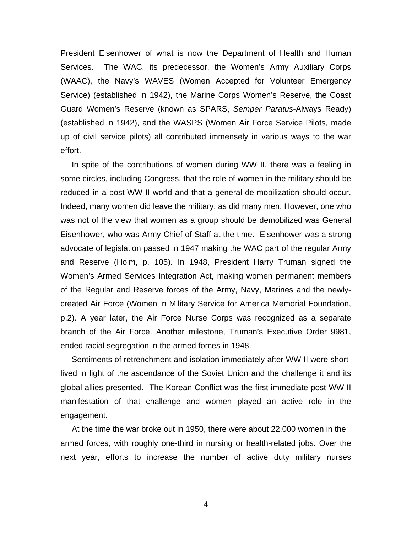President Eisenhower of what is now the Department of Health and Human Services. The WAC, its predecessor, the Women's Army Auxiliary Corps (WAAC), the Navy's WAVES (Women Accepted for Volunteer Emergency Service) (established in 1942), the Marine Corps Women's Reserve, the Coast Guard Women's Reserve (known as SPARS, *Semper Paratus*-Always Ready) (established in 1942), and the WASPS (Women Air Force Service Pilots, made up of civil service pilots) all contributed immensely in various ways to the war effort.

In spite of the contributions of women during WW II, there was a feeling in some circles, including Congress, that the role of women in the military should be reduced in a post-WW II world and that a general de-mobilization should occur. Indeed, many women did leave the military, as did many men. However, one who was not of the view that women as a group should be demobilized was General Eisenhower, who was Army Chief of Staff at the time. Eisenhower was a strong advocate of legislation passed in 1947 making the WAC part of the regular Army and Reserve (Holm, p. 105). In 1948, President Harry Truman signed the Women's Armed Services Integration Act, making women permanent members of the Regular and Reserve forces of the Army, Navy, Marines and the newlycreated Air Force (Women in Military Service for America Memorial Foundation, p.2). A year later, the Air Force Nurse Corps was recognized as a separate branch of the Air Force. Another milestone, Truman's Executive Order 9981, ended racial segregation in the armed forces in 1948.

 Sentiments of retrenchment and isolation immediately after WW II were shortlived in light of the ascendance of the Soviet Union and the challenge it and its global allies presented. The Korean Conflict was the first immediate post-WW II manifestation of that challenge and women played an active role in the engagement.

 At the time the war broke out in 1950, there were about 22,000 women in the armed forces, with roughly one-third in nursing or health-related jobs. Over the next year, efforts to increase the number of active duty military nurses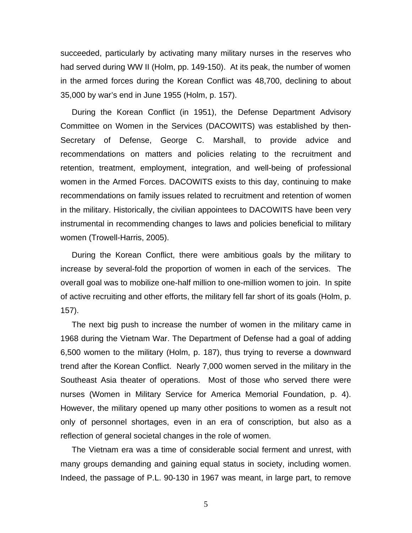succeeded, particularly by activating many military nurses in the reserves who had served during WW II (Holm, pp. 149-150). At its peak, the number of women in the armed forces during the Korean Conflict was 48,700, declining to about 35,000 by war's end in June 1955 (Holm, p. 157).

 During the Korean Conflict (in 1951), the Defense Department Advisory Committee on Women in the Services (DACOWITS) was established by then-Secretary of Defense, George C. Marshall, to provide advice and recommendations on matters and policies relating to the recruitment and retention, treatment, employment, integration, and well-being of professional women in the Armed Forces. DACOWITS exists to this day, continuing to make recommendations on family issues related to recruitment and retention of women in the military. Historically, the civilian appointees to DACOWITS have been very instrumental in recommending changes to laws and policies beneficial to military women (Trowell-Harris, 2005).

 During the Korean Conflict, there were ambitious goals by the military to increase by several-fold the proportion of women in each of the services. The overall goal was to mobilize one-half million to one-million women to join. In spite of active recruiting and other efforts, the military fell far short of its goals (Holm, p. 157).

 The next big push to increase the number of women in the military came in 1968 during the Vietnam War. The Department of Defense had a goal of adding 6,500 women to the military (Holm, p. 187), thus trying to reverse a downward trend after the Korean Conflict. Nearly 7,000 women served in the military in the Southeast Asia theater of operations. Most of those who served there were nurses (Women in Military Service for America Memorial Foundation, p. 4). However, the military opened up many other positions to women as a result not only of personnel shortages, even in an era of conscription, but also as a reflection of general societal changes in the role of women.

 The Vietnam era was a time of considerable social ferment and unrest, with many groups demanding and gaining equal status in society, including women. Indeed, the passage of P.L. 90-130 in 1967 was meant, in large part, to remove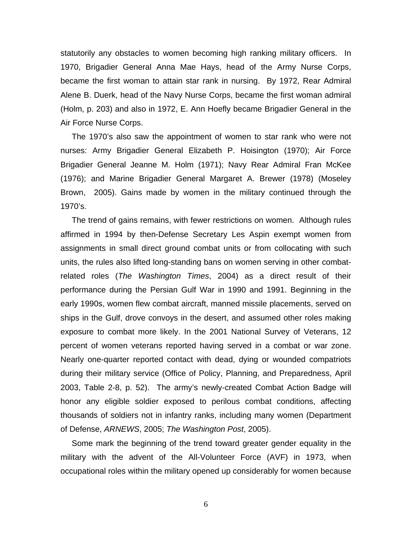statutorily any obstacles to women becoming high ranking military officers. In 1970, Brigadier General Anna Mae Hays, head of the Army Nurse Corps, became the first woman to attain star rank in nursing. By 1972, Rear Admiral Alene B. Duerk, head of the Navy Nurse Corps, became the first woman admiral (Holm, p. 203) and also in 1972, E. Ann Hoefly became Brigadier General in the Air Force Nurse Corps.

 The 1970's also saw the appointment of women to star rank who were not nurses: Army Brigadier General Elizabeth P. Hoisington (1970); Air Force Brigadier General Jeanne M. Holm (1971); Navy Rear Admiral Fran McKee (1976); and Marine Brigadier General Margaret A. Brewer (1978) (Moseley Brown, 2005). Gains made by women in the military continued through the 1970's.

 The trend of gains remains, with fewer restrictions on women. Although rules affirmed in 1994 by then-Defense Secretary Les Aspin exempt women from assignments in small direct ground combat units or from collocating with such units, the rules also lifted long-standing bans on women serving in other combatrelated roles (*The Washington Times*, 2004) as a direct result of their performance during the Persian Gulf War in 1990 and 1991. Beginning in the early 1990s, women flew combat aircraft, manned missile placements, served on ships in the Gulf, drove convoys in the desert, and assumed other roles making exposure to combat more likely. In the 2001 National Survey of Veterans, 12 percent of women veterans reported having served in a combat or war zone. Nearly one-quarter reported contact with dead, dying or wounded compatriots during their military service (Office of Policy, Planning, and Preparedness, April 2003, Table 2-8, p. 52). The army's newly-created Combat Action Badge will honor any eligible soldier exposed to perilous combat conditions, affecting thousands of soldiers not in infantry ranks, including many women (Department of Defense, *ARNEWS*, 2005; *The Washington Post*, 2005).

 Some mark the beginning of the trend toward greater gender equality in the military with the advent of the All-Volunteer Force (AVF) in 1973, when occupational roles within the military opened up considerably for women because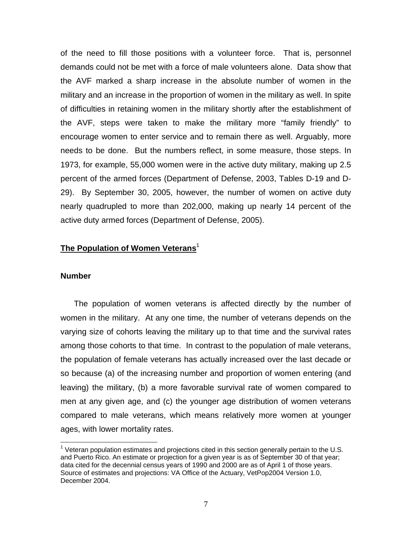of the need to fill those positions with a volunteer force. That is, personnel demands could not be met with a force of male volunteers alone. Data show that the AVF marked a sharp increase in the absolute number of women in the military and an increase in the proportion of women in the military as well. In spite of difficulties in retaining women in the military shortly after the establishment of the AVF, steps were taken to make the military more "family friendly" to encourage women to enter service and to remain there as well. Arguably, more needs to be done. But the numbers reflect, in some measure, those steps. In 1973, for example, 55,000 women were in the active duty military, making up 2.5 percent of the armed forces (Department of Defense, 2003, Tables D-19 and D-29). By September 30, 2005, however, the number of women on active duty nearly quadrupled to more than 202,000, making up nearly 14 percent of the active duty armed forces (Department of Defense, 2005).

## **The Population of Women Veterans**<sup>1</sup>

#### **Number**

 The population of women veterans is affected directly by the number of women in the military. At any one time, the number of veterans depends on the varying size of cohorts leaving the military up to that time and the survival rates among those cohorts to that time. In contrast to the population of male veterans, the population of female veterans has actually increased over the last decade or so because (a) of the increasing number and proportion of women entering (and leaving) the military, (b) a more favorable survival rate of women compared to men at any given age, and (c) the younger age distribution of women veterans compared to male veterans, which means relatively more women at younger ages, with lower mortality rates.

 $\overline{a}$  $1$  Veteran population estimates and projections cited in this section generally pertain to the U.S. and Puerto Rico. An estimate or projection for a given year is as of September 30 of that year; data cited for the decennial census years of 1990 and 2000 are as of April 1 of those years. Source of estimates and projections: VA Office of the Actuary, VetPop2004 Version 1.0, December 2004.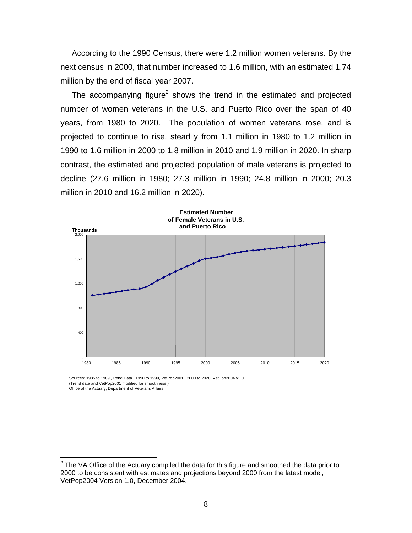According to the 1990 Census, there were 1.2 million women veterans. By the next census in 2000, that number increased to 1.6 million, with an estimated 1.74 million by the end of fiscal year 2007.

The accompanying figure<sup>2</sup> shows the trend in the estimated and projected number of women veterans in the U.S. and Puerto Rico over the span of 40 years, from 1980 to 2020. The population of women veterans rose, and is projected to continue to rise, steadily from 1.1 million in 1980 to 1.2 million in 1990 to 1.6 million in 2000 to 1.8 million in 2010 and 1.9 million in 2020. In sharp contrast, the estimated and projected population of male veterans is projected to decline (27.6 million in 1980; 27.3 million in 1990; 24.8 million in 2000; 20.3 million in 2010 and 16.2 million in 2020).



Sources: 1985 to 1989 ,Trend Data ; 1990 to 1999, VetPop2001; 2000 to 2020: VetPop2004 v1.0 (Trend data and VetPop2001 modified for smoothness.) Office of the Actuary, Department of Veterans Affairs

 $\overline{a}$ 

 $2$  The VA Office of the Actuary compiled the data for this figure and smoothed the data prior to 2000 to be consistent with estimates and projections beyond 2000 from the latest model, VetPop2004 Version 1.0, December 2004.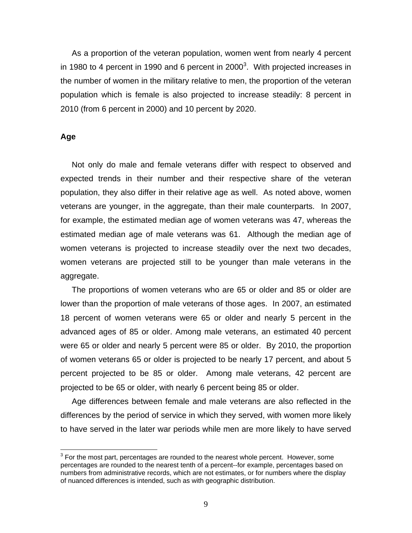As a proportion of the veteran population, women went from nearly 4 percent in 1980 to 4 percent in 1990 and 6 percent in 2000<sup>3</sup>. With projected increases in the number of women in the military relative to men, the proportion of the veteran population which is female is also projected to increase steadily: 8 percent in 2010 (from 6 percent in 2000) and 10 percent by 2020.

#### **Age**

 $\overline{a}$ 

 Not only do male and female veterans differ with respect to observed and expected trends in their number and their respective share of the veteran population, they also differ in their relative age as well. As noted above, women veterans are younger, in the aggregate, than their male counterparts. In 2007, for example, the estimated median age of women veterans was 47, whereas the estimated median age of male veterans was 61. Although the median age of women veterans is projected to increase steadily over the next two decades, women veterans are projected still to be younger than male veterans in the aggregate.

 The proportions of women veterans who are 65 or older and 85 or older are lower than the proportion of male veterans of those ages. In 2007, an estimated 18 percent of women veterans were 65 or older and nearly 5 percent in the advanced ages of 85 or older. Among male veterans, an estimated 40 percent were 65 or older and nearly 5 percent were 85 or older. By 2010, the proportion of women veterans 65 or older is projected to be nearly 17 percent, and about 5 percent projected to be 85 or older. Among male veterans, 42 percent are projected to be 65 or older, with nearly 6 percent being 85 or older.

 Age differences between female and male veterans are also reflected in the differences by the period of service in which they served, with women more likely to have served in the later war periods while men are more likely to have served

 $3$  For the most part, percentages are rounded to the nearest whole percent. However, some percentages are rounded to the nearest tenth of a percent--for example, percentages based on numbers from administrative records, which are not estimates, or for numbers where the display of nuanced differences is intended, such as with geographic distribution.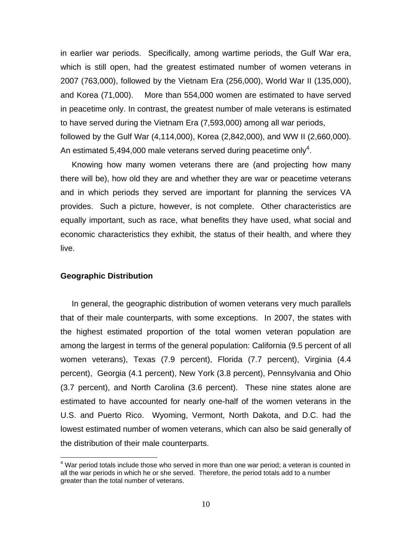in earlier war periods. Specifically, among wartime periods, the Gulf War era, which is still open, had the greatest estimated number of women veterans in 2007 (763,000), followed by the Vietnam Era (256,000), World War II (135,000), and Korea (71,000). More than 554,000 women are estimated to have served in peacetime only. In contrast, the greatest number of male veterans is estimated to have served during the Vietnam Era (7,593,000) among all war periods, followed by the Gulf War (4,114,000), Korea (2,842,000), and WW II (2,660,000). An estimated 5,494,000 male veterans served during peacetime only<sup>4</sup>.

 Knowing how many women veterans there are (and projecting how many there will be), how old they are and whether they are war or peacetime veterans and in which periods they served are important for planning the services VA provides. Such a picture, however, is not complete. Other characteristics are equally important, such as race, what benefits they have used, what social and economic characteristics they exhibit, the status of their health, and where they live.

#### **Geographic Distribution**

1

 In general, the geographic distribution of women veterans very much parallels that of their male counterparts, with some exceptions. In 2007, the states with the highest estimated proportion of the total women veteran population are among the largest in terms of the general population: California (9.5 percent of all women veterans), Texas (7.9 percent), Florida (7.7 percent), Virginia (4.4 percent), Georgia (4.1 percent), New York (3.8 percent), Pennsylvania and Ohio (3.7 percent), and North Carolina (3.6 percent). These nine states alone are estimated to have accounted for nearly one-half of the women veterans in the U.S. and Puerto Rico. Wyoming, Vermont, North Dakota, and D.C. had the lowest estimated number of women veterans, which can also be said generally of the distribution of their male counterparts.

 $4$  War period totals include those who served in more than one war period; a veteran is counted in all the war periods in which he or she served. Therefore, the period totals add to a number greater than the total number of veterans.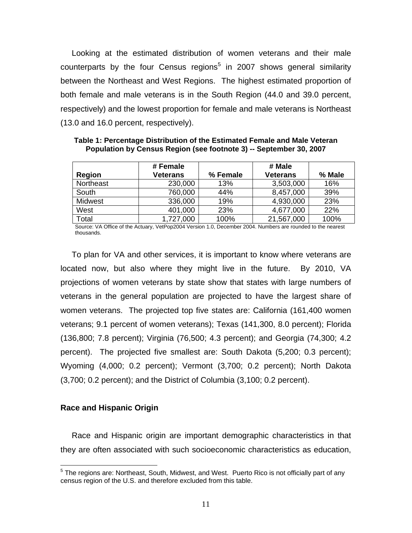Looking at the estimated distribution of women veterans and their male counterparts by the four Census regions<sup>5</sup> in 2007 shows general similarity between the Northeast and West Regions. The highest estimated proportion of both female and male veterans is in the South Region (44.0 and 39.0 percent, respectively) and the lowest proportion for female and male veterans is Northeast (13.0 and 16.0 percent, respectively).

|               | # Female        |          | # Male          |        |
|---------------|-----------------|----------|-----------------|--------|
| <b>Region</b> | <b>Veterans</b> | % Female | <b>Veterans</b> | % Male |
| Northeast     | 230,000         | 13%      | 3,503,000       | 16%    |
| South         | 760,000         | 44%      | 8,457,000       | 39%    |
| Midwest       | 336,000         | 19%      | 4,930,000       | 23%    |
| West          | 401,000         | 23%      | 4,677,000       | 22%    |
| Total         | 1,727,000       | 100%     | 21,567,000      | 100%   |

**Table 1: Percentage Distribution of the Estimated Female and Male Veteran Population by Census Region (see footnote 3) -- September 30, 2007** 

Source: VA Office of the Actuary, VetPop2004 Version 1.0, December 2004. Numbers are rounded to the nearest thousands.

 To plan for VA and other services, it is important to know where veterans are located now, but also where they might live in the future. By 2010, VA projections of women veterans by state show that states with large numbers of veterans in the general population are projected to have the largest share of women veterans. The projected top five states are: California (161,400 women veterans; 9.1 percent of women veterans); Texas (141,300, 8.0 percent); Florida (136,800; 7.8 percent); Virginia (76,500; 4.3 percent); and Georgia (74,300; 4.2 percent). The projected five smallest are: South Dakota (5,200; 0.3 percent); Wyoming (4,000; 0.2 percent); Vermont (3,700; 0.2 percent); North Dakota (3,700; 0.2 percent); and the District of Columbia (3,100; 0.2 percent).

# **Race and Hispanic Origin**

 Race and Hispanic origin are important demographic characteristics in that they are often associated with such socioeconomic characteristics as education,

 5 The regions are: Northeast, South, Midwest, and West. Puerto Rico is not officially part of any census region of the U.S. and therefore excluded from this table.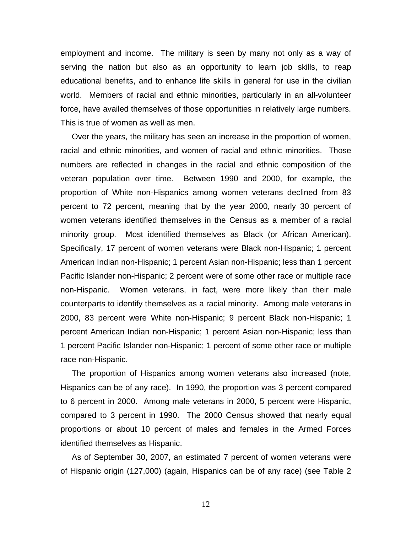employment and income. The military is seen by many not only as a way of serving the nation but also as an opportunity to learn job skills, to reap educational benefits, and to enhance life skills in general for use in the civilian world. Members of racial and ethnic minorities, particularly in an all-volunteer force, have availed themselves of those opportunities in relatively large numbers. This is true of women as well as men.

 Over the years, the military has seen an increase in the proportion of women, racial and ethnic minorities, and women of racial and ethnic minorities. Those numbers are reflected in changes in the racial and ethnic composition of the veteran population over time. Between 1990 and 2000, for example, the proportion of White non-Hispanics among women veterans declined from 83 percent to 72 percent, meaning that by the year 2000, nearly 30 percent of women veterans identified themselves in the Census as a member of a racial minority group. Most identified themselves as Black (or African American). Specifically, 17 percent of women veterans were Black non-Hispanic; 1 percent American Indian non-Hispanic; 1 percent Asian non-Hispanic; less than 1 percent Pacific Islander non-Hispanic; 2 percent were of some other race or multiple race non-Hispanic. Women veterans, in fact, were more likely than their male counterparts to identify themselves as a racial minority. Among male veterans in 2000, 83 percent were White non-Hispanic; 9 percent Black non-Hispanic; 1 percent American Indian non-Hispanic; 1 percent Asian non-Hispanic; less than 1 percent Pacific Islander non-Hispanic; 1 percent of some other race or multiple race non-Hispanic.

 The proportion of Hispanics among women veterans also increased (note, Hispanics can be of any race). In 1990, the proportion was 3 percent compared to 6 percent in 2000. Among male veterans in 2000, 5 percent were Hispanic, compared to 3 percent in 1990. The 2000 Census showed that nearly equal proportions or about 10 percent of males and females in the Armed Forces identified themselves as Hispanic.

 As of September 30, 2007, an estimated 7 percent of women veterans were of Hispanic origin (127,000) (again, Hispanics can be of any race) (see Table 2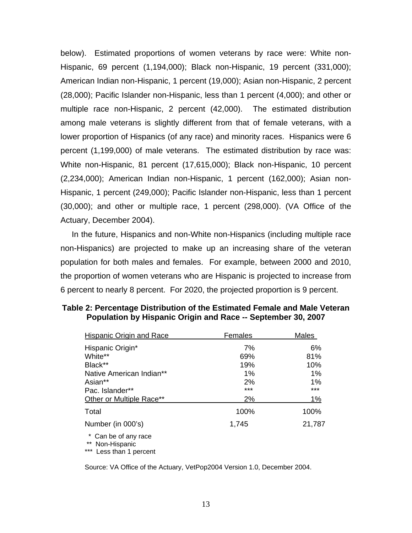below). Estimated proportions of women veterans by race were: White non-Hispanic, 69 percent (1,194,000); Black non-Hispanic, 19 percent (331,000); American Indian non-Hispanic, 1 percent (19,000); Asian non-Hispanic, 2 percent (28,000); Pacific Islander non-Hispanic, less than 1 percent (4,000); and other or multiple race non-Hispanic, 2 percent (42,000). The estimated distribution among male veterans is slightly different from that of female veterans, with a lower proportion of Hispanics (of any race) and minority races. Hispanics were 6 percent (1,199,000) of male veterans. The estimated distribution by race was: White non-Hispanic, 81 percent (17,615,000); Black non-Hispanic, 10 percent (2,234,000); American Indian non-Hispanic, 1 percent (162,000); Asian non-Hispanic, 1 percent (249,000); Pacific Islander non-Hispanic, less than 1 percent (30,000); and other or multiple race, 1 percent (298,000). (VA Office of the Actuary, December 2004).

 In the future, Hispanics and non-White non-Hispanics (including multiple race non-Hispanics) are projected to make up an increasing share of the veteran population for both males and females. For example, between 2000 and 2010, the proportion of women veterans who are Hispanic is projected to increase from 6 percent to nearly 8 percent. For 2020, the projected proportion is 9 percent.

| Hispanic Origin and Race                                                      | Females | Males  |  |
|-------------------------------------------------------------------------------|---------|--------|--|
| Hispanic Origin*                                                              | 7%      | 6%     |  |
| White**                                                                       | 69%     | 81%    |  |
| Black**                                                                       | 19%     | 10%    |  |
| Native American Indian**                                                      | 1%      | 1%     |  |
| Asian**                                                                       | 2%      | $1\%$  |  |
| Pac. Islander**                                                               | ***     | ***    |  |
| Other or Multiple Race**                                                      | 2%      | 1%     |  |
| Total                                                                         | 100%    | 100%   |  |
| Number (in 000's)                                                             | 1,745   | 21,787 |  |
| * Can be of any race<br>$***$<br>Non-Hispanic<br>$***$<br>Less than 1 percent |         |        |  |

## **Table 2: Percentage Distribution of the Estimated Female and Male Veteran Population by Hispanic Origin and Race -- September 30, 2007**

Source: VA Office of the Actuary, VetPop2004 Version 1.0, December 2004.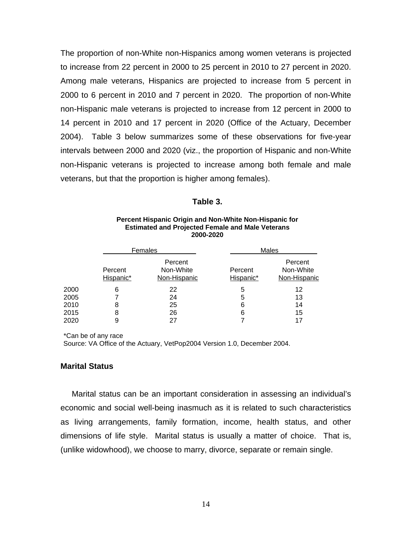The proportion of non-White non-Hispanics among women veterans is projected to increase from 22 percent in 2000 to 25 percent in 2010 to 27 percent in 2020. Among male veterans, Hispanics are projected to increase from 5 percent in 2000 to 6 percent in 2010 and 7 percent in 2020. The proportion of non-White non-Hispanic male veterans is projected to increase from 12 percent in 2000 to 14 percent in 2010 and 17 percent in 2020 (Office of the Actuary, December 2004). Table 3 below summarizes some of these observations for five-year intervals between 2000 and 2020 (viz., the proportion of Hispanic and non-White non-Hispanic veterans is projected to increase among both female and male veterans, but that the proportion is higher among females).

#### **Table 3.**

|      | Females              |                                      | Males                |                                      |
|------|----------------------|--------------------------------------|----------------------|--------------------------------------|
|      | Percent<br>Hispanic* | Percent<br>Non-White<br>Non-Hispanic | Percent<br>Hispanic* | Percent<br>Non-White<br>Non-Hispanic |
| 2000 | 6                    | 22                                   | 5                    | 12                                   |
| 2005 |                      | 24                                   | 5                    | 13                                   |
| 2010 | 8                    | 25                                   | 6                    | 14                                   |
| 2015 | 8                    | 26                                   | 6                    | 15                                   |
| 2020 |                      | 27                                   |                      | 17                                   |

#### **Percent Hispanic Origin and Non-White Non-Hispanic for Estimated and Projected Female and Male Veterans 2000-2020**

\*Can be of any race

Source: VA Office of the Actuary, VetPop2004 Version 1.0, December 2004.

#### **Marital Status**

 Marital status can be an important consideration in assessing an individual's economic and social well-being inasmuch as it is related to such characteristics as living arrangements, family formation, income, health status, and other dimensions of life style. Marital status is usually a matter of choice. That is, (unlike widowhood), we choose to marry, divorce, separate or remain single.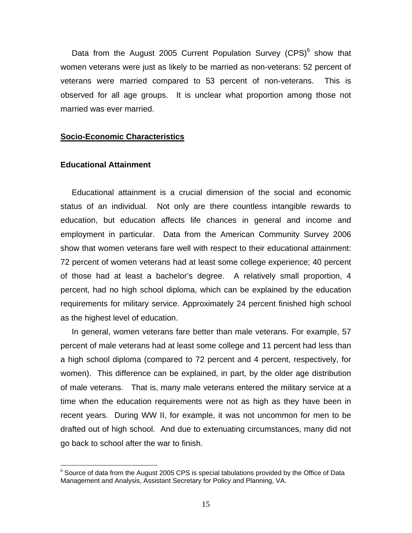Data from the August 2005 Current Population Survey (CPS) $<sup>6</sup>$  show that</sup> women veterans were just as likely to be married as non-veterans: 52 percent of veterans were married compared to 53 percent of non-veterans. This is observed for all age groups. It is unclear what proportion among those not married was ever married.

#### **Socio-Economic Characteristics**

### **Educational Attainment**

 $\overline{a}$ 

 Educational attainment is a crucial dimension of the social and economic status of an individual. Not only are there countless intangible rewards to education, but education affects life chances in general and income and employment in particular. Data from the American Community Survey 2006 show that women veterans fare well with respect to their educational attainment: 72 percent of women veterans had at least some college experience; 40 percent of those had at least a bachelor's degree. A relatively small proportion, 4 percent, had no high school diploma, which can be explained by the education requirements for military service. Approximately 24 percent finished high school as the highest level of education.

 In general, women veterans fare better than male veterans. For example, 57 percent of male veterans had at least some college and 11 percent had less than a high school diploma (compared to 72 percent and 4 percent, respectively, for women). This difference can be explained, in part, by the older age distribution of male veterans. That is, many male veterans entered the military service at a time when the education requirements were not as high as they have been in recent years. During WW II, for example, it was not uncommon for men to be drafted out of high school. And due to extenuating circumstances, many did not go back to school after the war to finish.

 $6$  Source of data from the August 2005 CPS is special tabulations provided by the Office of Data Management and Analysis, Assistant Secretary for Policy and Planning, VA.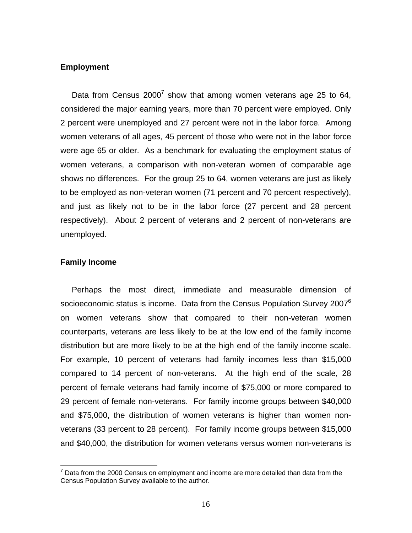## **Employment**

Data from Census  $2000^7$  show that among women veterans age 25 to 64, considered the major earning years, more than 70 percent were employed. Only 2 percent were unemployed and 27 percent were not in the labor force. Among women veterans of all ages, 45 percent of those who were not in the labor force were age 65 or older. As a benchmark for evaluating the employment status of women veterans, a comparison with non-veteran women of comparable age shows no differences. For the group 25 to 64, women veterans are just as likely to be employed as non-veteran women (71 percent and 70 percent respectively), and just as likely not to be in the labor force (27 percent and 28 percent respectively). About 2 percent of veterans and 2 percent of non-veterans are unemployed.

#### **Family Income**

1

 Perhaps the most direct, immediate and measurable dimension of socioeconomic status is income. Data from the Census Population Survey 2007 $6$ on women veterans show that compared to their non-veteran women counterparts, veterans are less likely to be at the low end of the family income distribution but are more likely to be at the high end of the family income scale. For example, 10 percent of veterans had family incomes less than \$15,000 compared to 14 percent of non-veterans. At the high end of the scale, 28 percent of female veterans had family income of \$75,000 or more compared to 29 percent of female non-veterans. For family income groups between \$40,000 and \$75,000, the distribution of women veterans is higher than women nonveterans (33 percent to 28 percent). For family income groups between \$15,000 and \$40,000, the distribution for women veterans versus women non-veterans is

 $7$  Data from the 2000 Census on employment and income are more detailed than data from the Census Population Survey available to the author.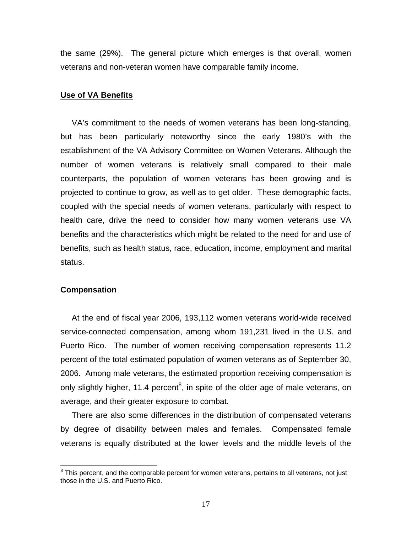the same (29%). The general picture which emerges is that overall, women veterans and non-veteran women have comparable family income.

#### **Use of VA Benefits**

 VA's commitment to the needs of women veterans has been long-standing, but has been particularly noteworthy since the early 1980's with the establishment of the VA Advisory Committee on Women Veterans. Although the number of women veterans is relatively small compared to their male counterparts, the population of women veterans has been growing and is projected to continue to grow, as well as to get older. These demographic facts, coupled with the special needs of women veterans, particularly with respect to health care, drive the need to consider how many women veterans use VA benefits and the characteristics which might be related to the need for and use of benefits, such as health status, race, education, income, employment and marital status.

#### **Compensation**

 At the end of fiscal year 2006, 193,112 women veterans world-wide received service-connected compensation, among whom 191,231 lived in the U.S. and Puerto Rico. The number of women receiving compensation represents 11.2 percent of the total estimated population of women veterans as of September 30, 2006. Among male veterans, the estimated proportion receiving compensation is only slightly higher, 11.4 percent<sup>8</sup>, in spite of the older age of male veterans, on average, and their greater exposure to combat.

 There are also some differences in the distribution of compensated veterans by degree of disability between males and females. Compensated female veterans is equally distributed at the lower levels and the middle levels of the

 8 This percent, and the comparable percent for women veterans, pertains to all veterans, not just those in the U.S. and Puerto Rico.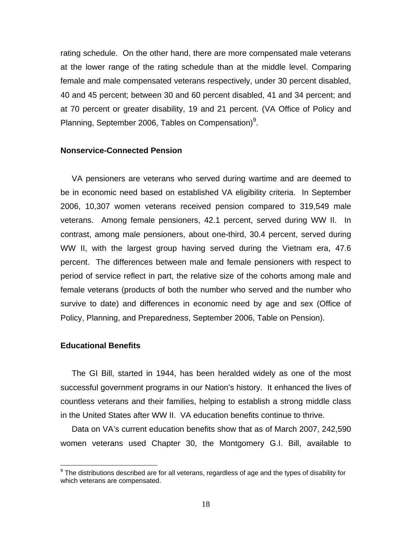rating schedule. On the other hand, there are more compensated male veterans at the lower range of the rating schedule than at the middle level. Comparing female and male compensated veterans respectively, under 30 percent disabled, 40 and 45 percent; between 30 and 60 percent disabled, 41 and 34 percent; and at 70 percent or greater disability, 19 and 21 percent. (VA Office of Policy and Planning, September 2006, Tables on Compensation)<sup>9</sup>.

#### **Nonservice-Connected Pension**

VA pensioners are veterans who served during wartime and are deemed to be in economic need based on established VA eligibility criteria. In September 2006, 10,307 women veterans received pension compared to 319,549 male veterans. Among female pensioners, 42.1 percent, served during WW II. In contrast, among male pensioners, about one-third, 30.4 percent, served during WW II, with the largest group having served during the Vietnam era, 47.6 percent. The differences between male and female pensioners with respect to period of service reflect in part, the relative size of the cohorts among male and female veterans (products of both the number who served and the number who survive to date) and differences in economic need by age and sex (Office of Policy, Planning, and Preparedness, September 2006, Table on Pension).

## **Educational Benefits**

 The GI Bill, started in 1944, has been heralded widely as one of the most successful government programs in our Nation's history. It enhanced the lives of countless veterans and their families, helping to establish a strong middle class in the United States after WW II. VA education benefits continue to thrive.

 Data on VA's current education benefits show that as of March 2007, 242,590 women veterans used Chapter 30, the Montgomery G.I. Bill, available to

 9 The distributions described are for all veterans, regardless of age and the types of disability for which veterans are compensated.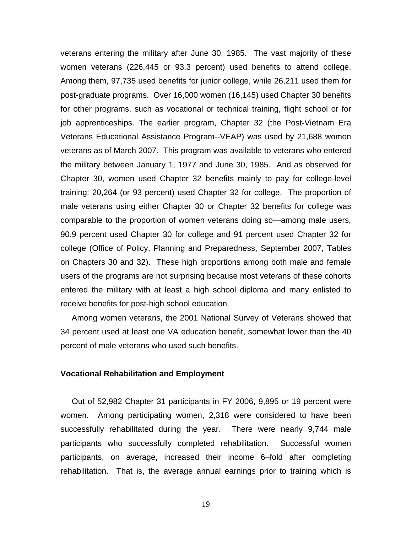veterans entering the military after June 30, 1985. The vast majority of these women veterans (226,445 or 93.3 percent) used benefits to attend college. Among them, 97,735 used benefits for junior college, while 26,211 used them for post-graduate programs. Over 16,000 women (16,145) used Chapter 30 benefits for other programs, such as vocational or technical training, flight school or for job apprenticeships. The earlier program, Chapter 32 (the Post-Vietnam Era Veterans Educational Assistance Program--VEAP) was used by 21,688 women veterans as of March 2007. This program was available to veterans who entered the military between January 1, 1977 and June 30, 1985. And as observed for Chapter 30, women used Chapter 32 benefits mainly to pay for college-level training: 20,264 (or 93 percent) used Chapter 32 for college. The proportion of male veterans using either Chapter 30 or Chapter 32 benefits for college was comparable to the proportion of women veterans doing so—among male users, 90.9 percent used Chapter 30 for college and 91 percent used Chapter 32 for college (Office of Policy, Planning and Preparedness, September 2007, Tables on Chapters 30 and 32). These high proportions among both male and female users of the programs are not surprising because most veterans of these cohorts entered the military with at least a high school diploma and many enlisted to receive benefits for post-high school education.

 Among women veterans, the 2001 National Survey of Veterans showed that 34 percent used at least one VA education benefit, somewhat lower than the 40 percent of male veterans who used such benefits.

## **Vocational Rehabilitation and Employment**

 Out of 52,982 Chapter 31 participants in FY 2006, 9,895 or 19 percent were women. Among participating women, 2,318 were considered to have been successfully rehabilitated during the year. There were nearly 9,744 male participants who successfully completed rehabilitation. Successful women participants, on average, increased their income 6–fold after completing rehabilitation. That is, the average annual earnings prior to training which is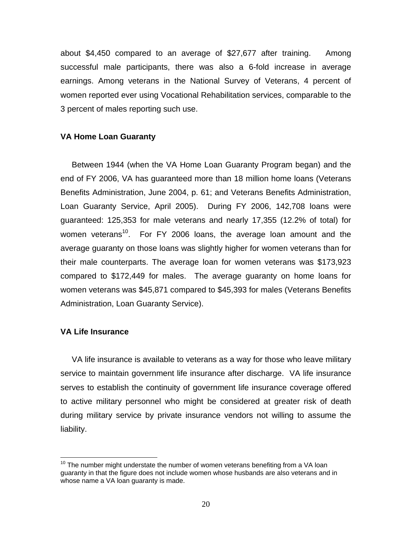about \$4,450 compared to an average of \$27,677 after training. Among successful male participants, there was also a 6-fold increase in average earnings. Among veterans in the National Survey of Veterans, 4 percent of women reported ever using Vocational Rehabilitation services, comparable to the 3 percent of males reporting such use.

## **VA Home Loan Guaranty**

 Between 1944 (when the VA Home Loan Guaranty Program began) and the end of FY 2006, VA has guaranteed more than 18 million home loans (Veterans Benefits Administration, June 2004, p. 61; and Veterans Benefits Administration, Loan Guaranty Service, April 2005). During FY 2006, 142,708 loans were guaranteed: 125,353 for male veterans and nearly 17,355 (12.2% of total) for women veterans<sup>10</sup>. For FY 2006 loans, the average loan amount and the average guaranty on those loans was slightly higher for women veterans than for their male counterparts. The average loan for women veterans was \$173,923 compared to \$172,449 for males. The average guaranty on home loans for women veterans was \$45,871 compared to \$45,393 for males (Veterans Benefits Administration, Loan Guaranty Service).

# **VA Life Insurance**

1

 VA life insurance is available to veterans as a way for those who leave military service to maintain government life insurance after discharge. VA life insurance serves to establish the continuity of government life insurance coverage offered to active military personnel who might be considered at greater risk of death during military service by private insurance vendors not willing to assume the liability.

 $10$  The number might understate the number of women veterans benefiting from a VA loan guaranty in that the figure does not include women whose husbands are also veterans and in whose name a VA loan guaranty is made.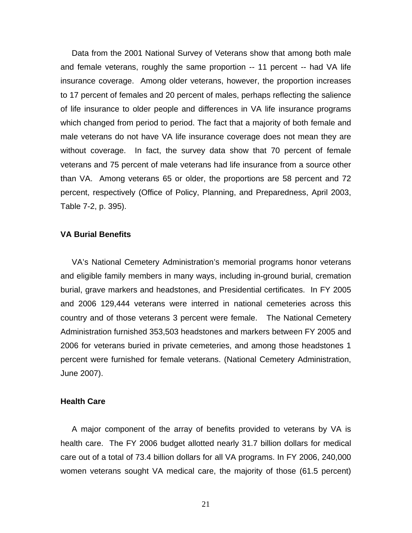Data from the 2001 National Survey of Veterans show that among both male and female veterans, roughly the same proportion -- 11 percent -- had VA life insurance coverage. Among older veterans, however, the proportion increases to 17 percent of females and 20 percent of males, perhaps reflecting the salience of life insurance to older people and differences in VA life insurance programs which changed from period to period. The fact that a majority of both female and male veterans do not have VA life insurance coverage does not mean they are without coverage. In fact, the survey data show that 70 percent of female veterans and 75 percent of male veterans had life insurance from a source other than VA. Among veterans 65 or older, the proportions are 58 percent and 72 percent, respectively (Office of Policy, Planning, and Preparedness, April 2003, Table 7-2, p. 395).

## **VA Burial Benefits**

 VA's National Cemetery Administration's memorial programs honor veterans and eligible family members in many ways, including in-ground burial, cremation burial, grave markers and headstones, and Presidential certificates. In FY 2005 and 2006 129,444 veterans were interred in national cemeteries across this country and of those veterans 3 percent were female. The National Cemetery Administration furnished 353,503 headstones and markers between FY 2005 and 2006 for veterans buried in private cemeteries, and among those headstones 1 percent were furnished for female veterans. (National Cemetery Administration, June 2007).

#### **Health Care**

 A major component of the array of benefits provided to veterans by VA is health care. The FY 2006 budget allotted nearly 31.7 billion dollars for medical care out of a total of 73.4 billion dollars for all VA programs. In FY 2006, 240,000 women veterans sought VA medical care, the majority of those (61.5 percent)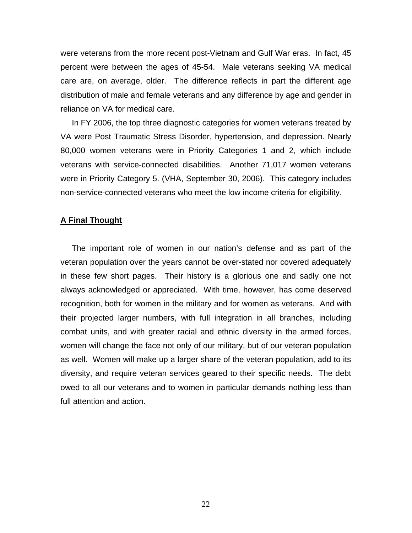were veterans from the more recent post-Vietnam and Gulf War eras. In fact, 45 percent were between the ages of 45-54. Male veterans seeking VA medical care are, on average, older. The difference reflects in part the different age distribution of male and female veterans and any difference by age and gender in reliance on VA for medical care.

 In FY 2006, the top three diagnostic categories for women veterans treated by VA were Post Traumatic Stress Disorder, hypertension, and depression. Nearly 80,000 women veterans were in Priority Categories 1 and 2, which include veterans with service-connected disabilities. Another 71,017 women veterans were in Priority Category 5. (VHA, September 30, 2006). This category includes non-service-connected veterans who meet the low income criteria for eligibility.

#### **A Final Thought**

 The important role of women in our nation's defense and as part of the veteran population over the years cannot be over-stated nor covered adequately in these few short pages. Their history is a glorious one and sadly one not always acknowledged or appreciated. With time, however, has come deserved recognition, both for women in the military and for women as veterans. And with their projected larger numbers, with full integration in all branches, including combat units, and with greater racial and ethnic diversity in the armed forces, women will change the face not only of our military, but of our veteran population as well. Women will make up a larger share of the veteran population, add to its diversity, and require veteran services geared to their specific needs. The debt owed to all our veterans and to women in particular demands nothing less than full attention and action.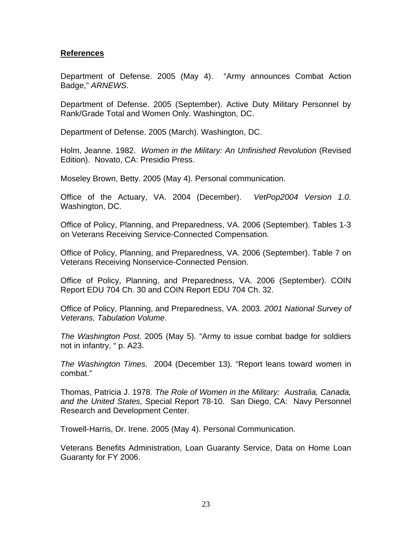# **References**

Department of Defense. 2005 (May 4). "Army announces Combat Action Badge," *ARNEWS*.

Department of Defense. 2005 (September). Active Duty Military Personnel by Rank/Grade Total and Women Only. Washington, DC.

Department of Defense. 2005 (March). Washington, DC.

Holm, Jeanne. 1982. *Women in the Military: An Unfinished Revolution* (Revised Edition). Novato, CA: Presidio Press.

Moseley Brown, Betty. 2005 (May 4). Personal communication.

Office of the Actuary, VA. 2004 (December). *VetPop2004 Version 1.0*. Washington, DC.

Office of Policy, Planning, and Preparedness, VA. 2006 (September). Tables 1-3 on Veterans Receiving Service-Connected Compensation.

Office of Policy, Planning, and Preparedness, VA. 2006 (September). Table 7 on Veterans Receiving Nonservice-Connected Pension.

Office of Policy, Planning, and Preparedness, VA. 2006 (September). COIN Report EDU 704 Ch. 30 and COIN Report EDU 704 Ch. 32.

Office of Policy, Planning, and Preparedness, VA. 2003. *2001 National Survey of Veterans, Tabulation Volume*.

*The Washington Post*. 2005 (May 5). "Army to issue combat badge for soldiers not in infantry, " p. A23.

*The Washington Times*. 2004 (December 13). "Report leans toward women in combat."

Thomas, Patricia J. 1978. *The Role of Women in the Military: Australia, Canada, and the United States,* Special Report 78-10. San Diego, CA: Navy Personnel Research and Development Center.

Trowell-Harris, Dr. Irene. 2005 (May 4). Personal Communication.

Veterans Benefits Administration, Loan Guaranty Service, Data on Home Loan Guaranty for FY 2006.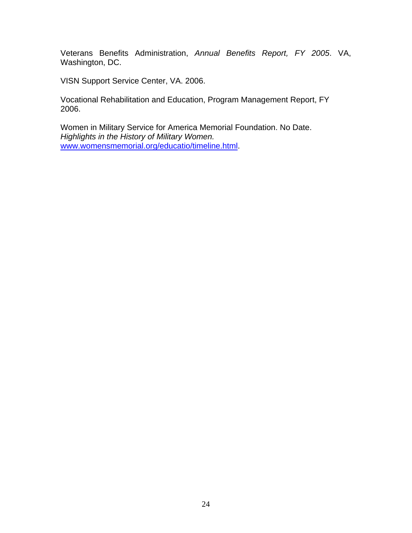Veterans Benefits Administration, *Annual Benefits Report, FY 2005*. VA, Washington, DC.

VISN Support Service Center, VA. 2006.

Vocational Rehabilitation and Education, Program Management Report, FY 2006.

Women in Military Service for America Memorial Foundation. No Date. *Highlights in the History of Military Women.*  www.womensmemorial.org/educatio/timeline.html.